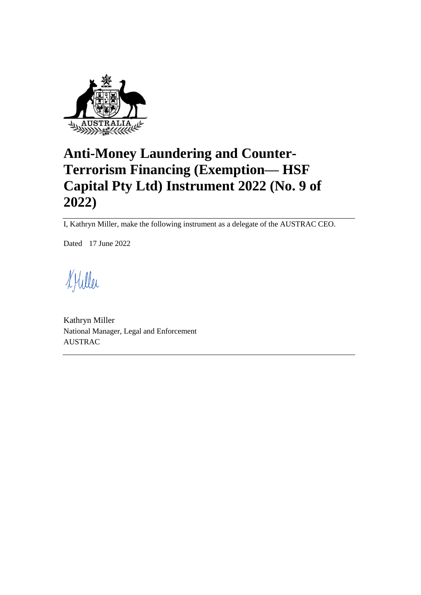

# **Anti-Money Laundering and Counter-Terrorism Financing (Exemption— HSF Capital Pty Ltd) Instrument 2022 (No. 9 of 2022)**

I, Kathryn Miller, make the following instrument as a delegate of the AUSTRAC CEO.

Dated 17 June 2022

KHiller

Kathryn Miller National Manager, Legal and Enforcement AUSTRAC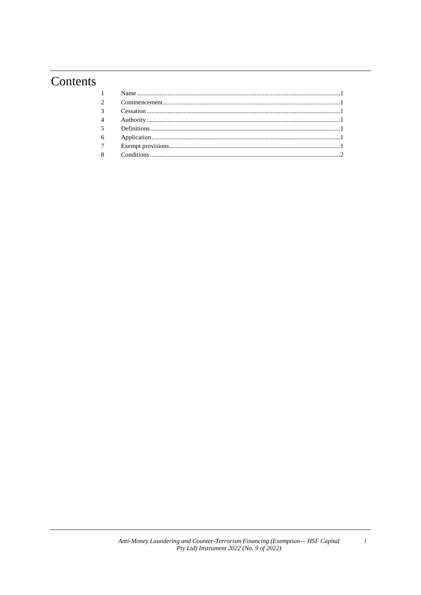# Contents

 $\boldsymbol{i}$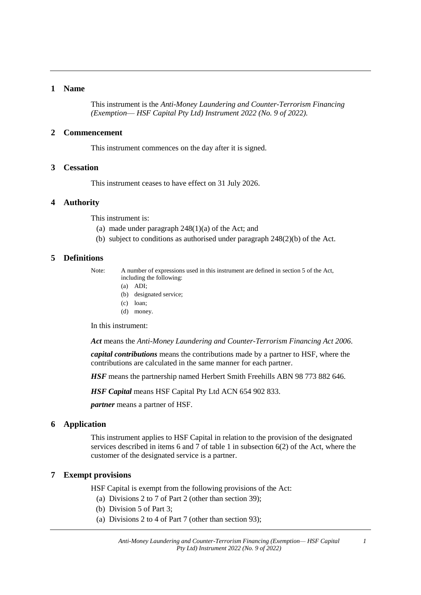# **1 Name**

This instrument is the *Anti-Money Laundering and Counter-Terrorism Financing (Exemption*— *HSF Capital Pty Ltd) Instrument 2022 (No. 9 of 2022).*

#### **2 Commencement**

This instrument commences on the day after it is signed.

### **3 Cessation**

This instrument ceases to have effect on 31 July 2026.

#### **4 Authority**

This instrument is:

- (a) made under paragraph  $248(1)(a)$  of the Act; and
- (b) subject to conditions as authorised under paragraph 248(2)(b) of the Act.

#### **5 Definitions**

Note: A number of expressions used in this instrument are defined in section 5 of the Act, including the following:

- (a) ADI;
- (b) designated service;
- (c) loan;
- (d) money.

In this instrument:

*Act* means the *Anti-Money Laundering and Counter-Terrorism Financing Act 2006*.

*capital contributions* means the contributions made by a partner to HSF, where the contributions are calculated in the same manner for each partner.

*HSF* means the partnership named Herbert Smith Freehills ABN 98 773 882 646.

*HSF Capital* means HSF Capital Pty Ltd ACN 654 902 833.

*partner* means a partner of HSF.

#### **6 Application**

This instrument applies to HSF Capital in relation to the provision of the designated services described in items 6 and 7 of table 1 in subsection 6(2) of the Act, where the customer of the designated service is a partner.

#### **7 Exempt provisions**

HSF Capital is exempt from the following provisions of the Act:

- (a) Divisions 2 to 7 of Part 2 (other than section 39);
- (b) Division 5 of Part 3;
- (a) Divisions 2 to 4 of Part 7 (other than section 93);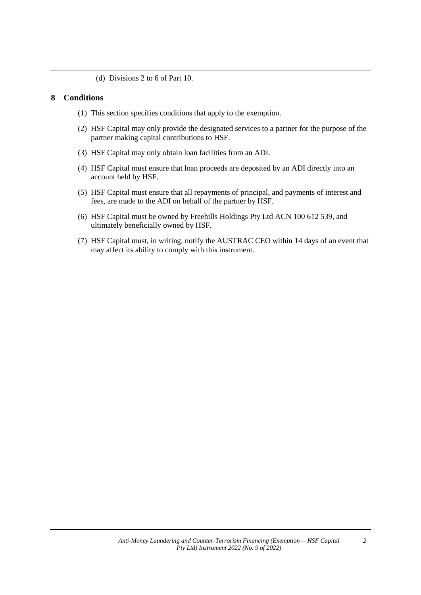(d) Divisions 2 to 6 of Part 10.

# **8 Conditions**

- (1) This section specifies conditions that apply to the exemption.
- (2) HSF Capital may only provide the designated services to a partner for the purpose of the partner making capital contributions to HSF.
- (3) HSF Capital may only obtain loan facilities from an ADI.
- (4) HSF Capital must ensure that loan proceeds are deposited by an ADI directly into an account held by HSF.
- (5) HSF Capital must ensure that all repayments of principal, and payments of interest and fees, are made to the ADI on behalf of the partner by HSF.
- (6) HSF Capital must be owned by Freehills Holdings Pty Ltd ACN 100 612 539, and ultimately beneficially owned by HSF.
- (7) HSF Capital must, in writing, notify the AUSTRAC CEO within 14 days of an event that may affect its ability to comply with this instrument.

*2*